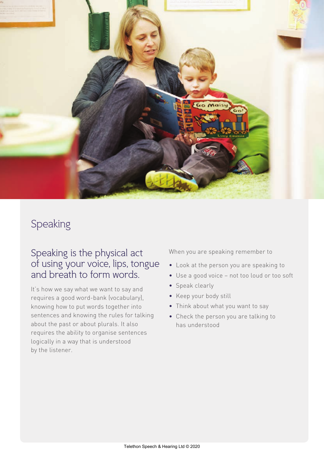

# Speaking

## Speaking is the physical act of using your voice, lips, tongue and breath to form words.

It's how we say what we want to say and requires a good word-bank (vocabulary), knowing how to put words together into sentences and knowing the rules for talking about the past or about plurals. It also requires the ability to organise sentences logically in a way that is understood by the listener.

When you are speaking remember to

- Look at the person you are speaking to
- Use a good voice not too loud or too soft
- Speak clearly
- Keep your body still
- Think about what you want to say
- Check the person you are talking to has understood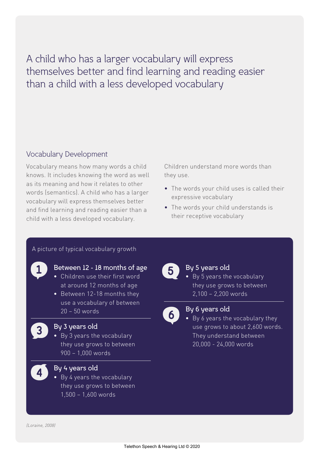A child who has a larger vocabulary will express themselves better and find learning and reading easier than a child with a less developed vocabulary

### Vocabulary Development

Vocabulary means how many words a child knows. It includes knowing the word as well as its meaning and how it relates to other words (semantics). A child who has a larger vocabulary will express themselves better and find learning and reading easier than a child with a less developed vocabulary.

Children understand more words than they use.

- The words your child uses is called their expressive vocabulary
- The words your child understands is their receptive vocabulary

#### A picture of typical vocabulary growth



#### Between 12 - 18 months of age

- Children use their first word at around 12 months of age
- Between 12-18 months they use a vocabulary of between 20 – 50 words



#### By 3 years old

• By 3 years the vocabulary they use grows to between 900 – 1,000 words



#### By 4 years old

• By 4 years the vocabulary they use grows to between 1,500 – 1,600 words



## By 5 years old

• By 5 years the vocabulary they use grows to between 2,100 – 2,200 words



#### By 6 years old

• By 6 years the vocabulary they use grows to about 2,600 words. They understand between 20,000 - 24,000 words

(Loraine, 2008)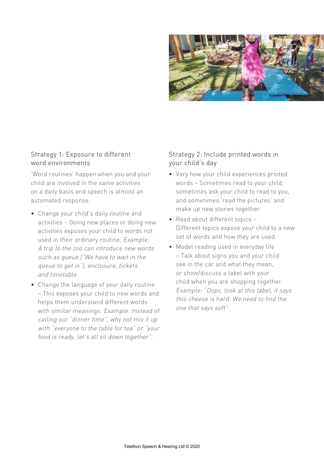

#### Strategy 1: Exposure to different word environments

'Word routines' happen when you and your child are involved in the same activities on a daily basis and speech is almost an automated response.

- Change your child's daily routine and activities – Going new places or doing new activities exposes your child to words not used in their ordinary routine. Example: A trip to the zoo can introduce new words such as queue ("We have to wait in the queue to get in"), enclosure, tickets and timetable.
- Change the language of your daily routine – This exposes your child to new words and helps them understand different words with similar meanings. Example: Instead of calling out "dinner time", why not mix it up with "everyone to the table for tea" or "your food is ready, let's all sit down together".

## Strategy 2: Include printed words in your child's day

- Vary how your child experiences printed words – Sometimes read to your child, sometimes ask your child to read to you, and sometimes 'read the pictures' and make up new stories together.
- Read about different topics Different topics expose your child to a new set of words and how they are used.
- Model reading used in everyday life – Talk about signs you and your child see in the car and what they mean, or show/discuss a label with your child when you are shopping together. Example: "Oops, look at this label, it says this cheese is hard. We need to find the one that says soft".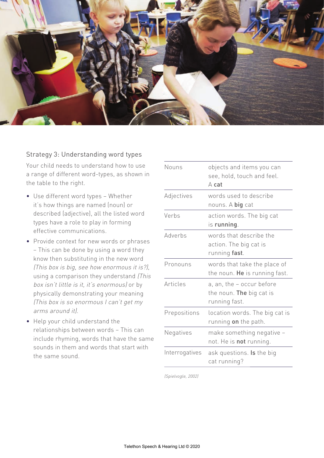

#### Strategy 3: Understanding word types

Your child needs to understand how to use a range of different word-types, as shown in the table to the right.

- Use different word types Whether it's how things are named (noun) or described (adjective), all the listed word types have a role to play in forming effective communications.
- Provide context for new words or phrases – This can be done by using a word they know then substituting in the new word (This box is big, see how enormous it is?), using a comparison they understand (This box isn't little is it, it's enormous) or by physically demonstrating your meaning (This box is so enormous I can't get my arms around it).
- Help your child understand the relationships between words – This can include rhyming, words that have the same sounds in them and words that start with the same sound.

| Nouns          | objects and items you can<br>see, hold, touch and feel.<br>$A$ cat     |
|----------------|------------------------------------------------------------------------|
| Adjectives     | words used to describe<br>nouns. A big cat                             |
| Verbs          | action words. The big cat<br>is running.                               |
| Adverbs        | words that describe the<br>action. The big cat is<br>running fast.     |
| Pronouns       | words that take the place of<br>the noun. He is running fast.          |
| Articles       | a, an, the - occur before<br>the noun. The big cat is<br>running fast. |
| Prepositions   | location words. The big cat is<br>running on the path.                 |
| Negatives      | make something negative -<br>not. He is not running.                   |
| Interrogatives | ask questions. <b>Is</b> the big<br>cat running?                       |

(Spielvogle, 2002)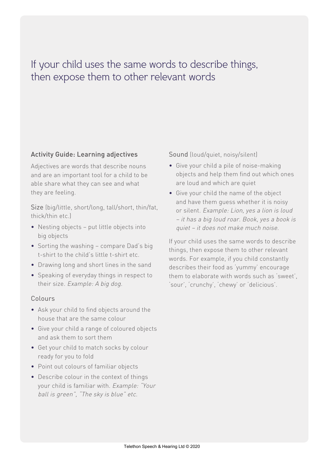## If your child uses the same words to describe things, then expose them to other relevant words

#### Activity Guide: Learning adjectives

Adjectives are words that describe nouns and are an important tool for a child to be able share what they can see and what they are feeling.

Size (big/little, short/long, tall/short, thin/fat, thick/thin etc.)

- Nesting objects put little objects into big objects
- Sorting the washing compare Dad's big t-shirt to the child's little t-shirt etc.
- Drawing long and short lines in the sand
- Speaking of everyday things in respect to their size. Example: A big dog.

#### Colours

- Ask your child to find objects around the house that are the same colour
- Give your child a range of coloured objects and ask them to sort them
- Get your child to match socks by colour ready for you to fold
- Point out colours of familiar objects
- Describe colour in the context of things your child is familiar with. Example: "Your ball is green", "The sky is blue" etc.

Sound (loud/quiet, noisy/silent)

- Give your child a pile of noise-making objects and help them find out which ones are loud and which are quiet
- Give your child the name of the object and have them guess whether it is noisy or silent. Example: Lion, yes a lion is loud – it has a big loud roar. Book, yes a book is quiet – it does not make much noise.

If your child uses the same words to describe things, then expose them to other relevant words. For example, if you child constantly describes their food as 'yummy' encourage them to elaborate with words such as 'sweet', 'sour', 'crunchy', 'chewy' or 'delicious'.